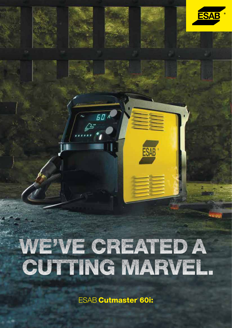# WE'VE CREATED A CUTTING MARVEL

 $50A$ 

**ESA** 

**ESAB Cutmaster 60i:**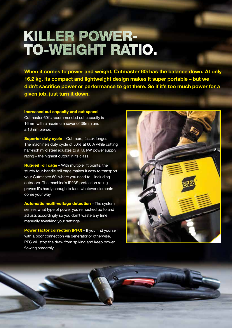# **KILLER POWER-**TO-WEIGHT RATIO.

When it comes to power and weight, Cutmaster 60i has the balance down. At only 16.2 kg, its compact and lightweight design makes it super portable – but we didn't sacrifice power or performance to get there. So if it's too much power for a given job, just turn it down.

Increased cut capacity and cut speed – Cutmaster 60i's recommended cut capacity is 16mm with a maximum sever of 38mm and a 16mm pierce.

Superior duty cycle - Cut more, faster, longer. The machine's duty cycle of 50% at 60 A while cutting half-inch mild steel equates to a 7.6 kW power supply rating – the highest output in its class.

**Rugged roll cage** – With multiple lift points, the sturdy four-handle roll cage makes it easy to transport your Cutmaster 60i where you need to – including outdoors. The machine's IP23S protection rating proves it's hardy enough to face whatever elements come your way.

Automatic multi-voltage detection – The system senses what type of power you're hooked up to and adjusts accordingly so you don't waste any time manually tweaking your settings.

**Power factor correction (PFC)** – If you find yourself with a poor connection via generator or otherwise, PFC will stop the draw from spiking and keep power flowing smoothly.



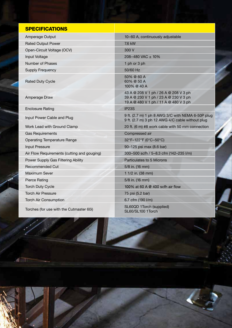| <b>SPECIFICATIONS</b>                       |                                                                                                                         |
|---------------------------------------------|-------------------------------------------------------------------------------------------------------------------------|
| Amperage Output                             | 10-60 A, continuously adjustable                                                                                        |
| <b>Rated Output Power</b>                   | 7.6 kW                                                                                                                  |
| Open-Circuit Voltage (OCV)                  | 300 V                                                                                                                   |
| Input Voltage                               | 208-480 VAC ± 10%                                                                                                       |
| Number of Phases                            | 1 ph or 3 ph                                                                                                            |
| <b>Supply Frequency</b>                     | 50/60 Hz                                                                                                                |
| <b>Rated Duty Cycle</b>                     | 50% @ 60 A<br>60% @ 50 A<br>100% @ 40 A                                                                                 |
| Amperage Draw                               | 43 A @ 208 V 1 ph / 26 A @ 208 V 3 ph<br>39 A @ 230 V 1 ph / 23 A @ 230 V 3 ph<br>19 A @ 480 V 1 ph / 11 A @ 480 V 3 ph |
| <b>Enclosure Rating</b>                     | IP <sub>23</sub> S                                                                                                      |
| Input Power Cable and Plug                  | 9 ft. (2.7 m) 1 ph 8 AWG 3/C with NEMA 6-50P plug<br>9 ft. (2.7 m) 3 ph 12 AWG 4/C cable without plug                   |
| Work Lead with Ground Clamp                 | 20 ft. (6 m) #8 work cable with 50 mm connection                                                                        |
| <b>Gas Requirements</b>                     | Compressed air                                                                                                          |
| <b>Operating Temperature Range</b>          | 32°F-122°F (0°C-50°C)                                                                                                   |
| <b>Input Pressure</b>                       | 90-125 psi max (8.6 bar)                                                                                                |
| Air Flow Requirements (cutting and gouging) | 300-500 scfh / 5-8.3 cfm (142-235 l/m)                                                                                  |
| Power Supply Gas Filtering Ability          | Particulates to 5 Microns                                                                                               |
| <b>Recommended Cut</b>                      | 5/8 in. (16 mm)                                                                                                         |
| Maximum Sever                               | 1 1/2 in. (38 mm)                                                                                                       |
| <b>Pierce Rating</b>                        | 5/8 in. (16 mm)                                                                                                         |
| <b>Torch Duty Cycle</b>                     | 100% at 60 A @ 400 scfh air flow                                                                                        |
| <b>Torch Air Pressure</b>                   | 75 psi (5.2 bar)                                                                                                        |
| <b>Torch Air Consumption</b>                | 6.7 cfm (190 l/m)                                                                                                       |
| Torches (for use with the Cutmaster 60i)    | SL60QD 1Torch (supplied)<br>SL60/SL100 1Torch                                                                           |

重